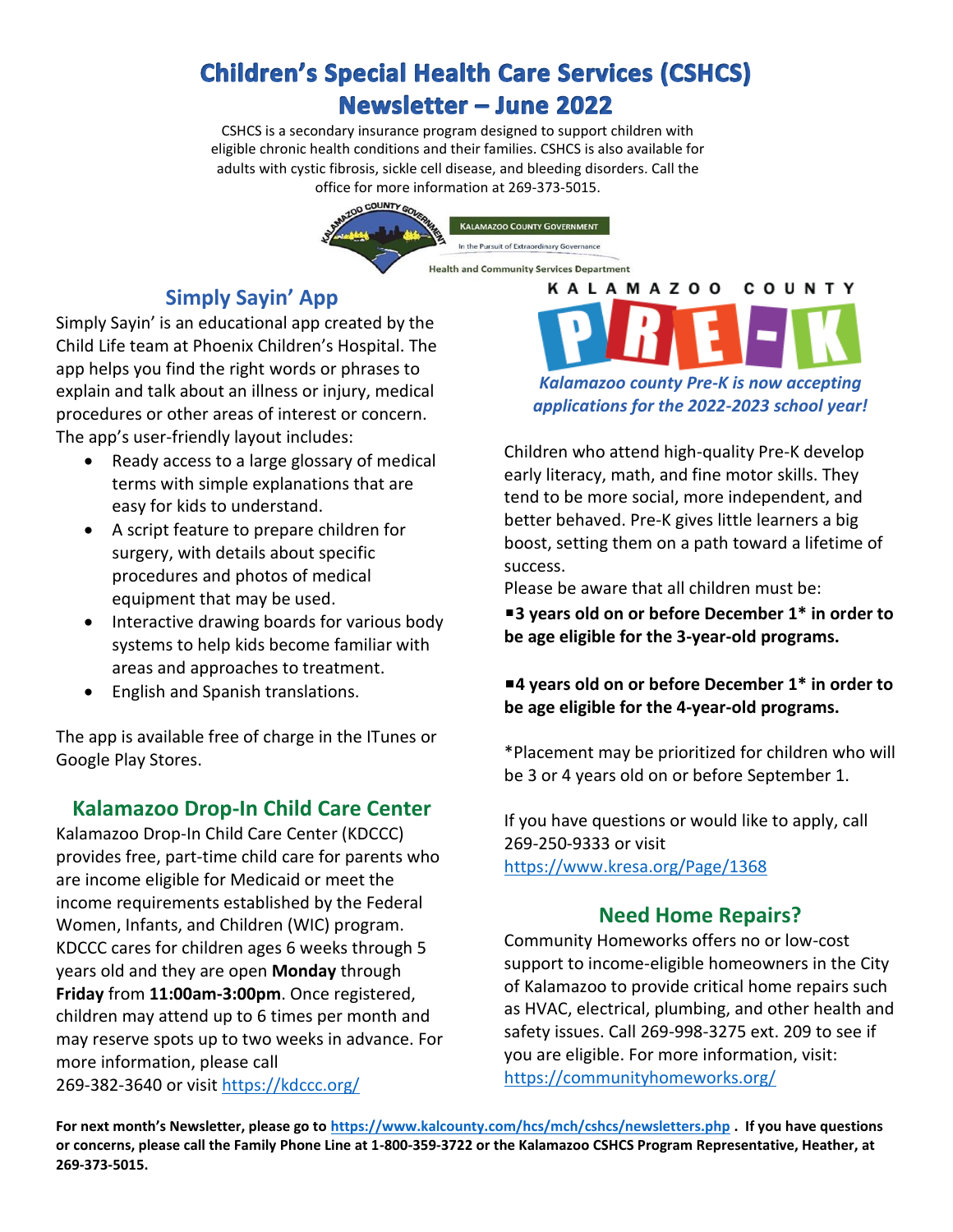# **Children's Special Health Care Services (CSHCS) Newsletter - June 2022**

CSHCS is a secondary insurance program designed to support children with eligible chronic health conditions and their families. CSHCS is also available for adults with cystic fibrosis, sickle cell disease, and bleeding disorders. Call the office for more information at 269-373-5015.



## **Simply Sayin' App**

Simply Sayin' is an educational app created by the Child Life team at Phoenix Children's Hospital. The app helps you find the right words or phrases to explain and talk about an illness or injury, medical procedures or other areas of interest or concern. The app's user-friendly layout includes:

- Ready access to a large glossary of medical terms with simple explanations that are easy for kids to understand.
- A script feature to prepare children for surgery, with details about specific procedures and photos of medical equipment that may be used.
- Interactive drawing boards for various body systems to help kids become familiar with areas and approaches to treatment.
- English and Spanish translations.

The app is available free of charge in the ITunes or Google Play Stores.

### **Kalamazoo Drop-In Child Care Center**

Kalamazoo Drop-In Child Care Center (KDCCC) provides free, part-time child care for parents who are income eligible for Medicaid or meet the income requirements established by the Federal Women, Infants, and Children (WIC) program. KDCCC cares for children ages 6 weeks through 5 years old and they are open **Monday** through **Friday** from **11:00am-3:00pm**. Once registered, children may attend up to 6 times per month and may reserve spots up to two weeks in advance. For more information, please call 269-382-3640 or visit<https://kdccc.org/>

*Kalamazoo county Pre-K is now accepting applications for the 2022-2023 school year!*

COUNTY

**KALAMAZOO** 

Children who attend high-quality Pre-K develop early literacy, math, and fine motor skills. They tend to be more social, more independent, and better behaved. Pre-K gives little learners a big boost, setting them on a path toward a lifetime of success.

Please be aware that all children must be:

■3 years old on or before December 1<sup>\*</sup> in order to **be age eligible for the 3-year-old programs.**

■4 years old on or before December 1<sup>\*</sup> in order to **be age eligible for the 4-year-old programs.**

\*Placement may be prioritized for children who will be 3 or 4 years old on or before September 1.

If you have questions or would like to apply, call 269-250-9333 or visit <https://www.kresa.org/Page/1368>

### **Need Home Repairs?**

Community Homeworks offers no or low-cost support to income-eligible homeowners in the City of Kalamazoo to provide critical home repairs such as HVAC, electrical, plumbing, and other health and safety issues. Call 269-998-3275 ext. 209 to see if you are eligible. For more information, visit: <https://communityhomeworks.org/>

**For next month's Newsletter, please go to <https://www.kalcounty.com/hcs/mch/cshcs/newsletters.php> . If you have questions or concerns, please call the Family Phone Line at 1-800-359-3722 or the Kalamazoo CSHCS Program Representative, Heather, at 269-373-5015.**